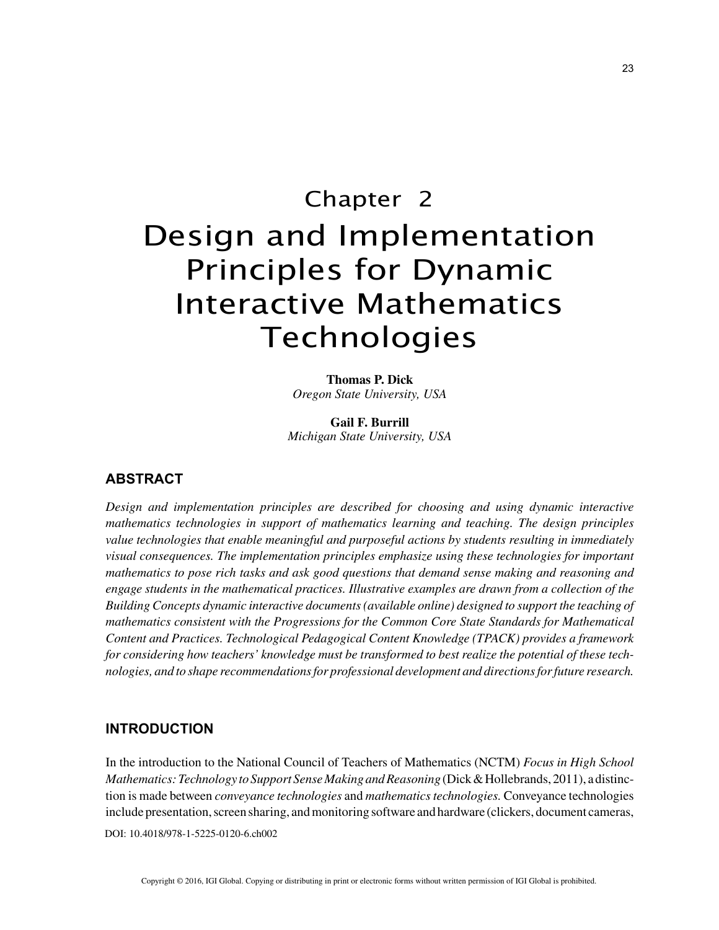# Chapter 2 Design and Implementation Principles for Dynamic Interactive Mathematics Technologies

**Thomas P. Dick** *Oregon State University, USA*

**Gail F. Burrill** *Michigan State University, USA*

## **ABSTRACT**

*Design and implementation principles are described for choosing and using dynamic interactive mathematics technologies in support of mathematics learning and teaching. The design principles value technologies that enable meaningful and purposeful actions by students resulting in immediately visual consequences. The implementation principles emphasize using these technologies for important mathematics to pose rich tasks and ask good questions that demand sense making and reasoning and engage students in the mathematical practices. Illustrative examples are drawn from a collection of the Building Concepts dynamic interactive documents (available online) designed to support the teaching of mathematics consistent with the Progressions for the Common Core State Standards for Mathematical Content and Practices. Technological Pedagogical Content Knowledge (TPACK) provides a framework for considering how teachers' knowledge must be transformed to best realize the potential of these technologies, and to shape recommendations for professional development and directions for future research.*

### **INTRODUCTION**

DOI: 10.4018/978-1-5225-0120-6.ch002 In the introduction to the National Council of Teachers of Mathematics (NCTM) *Focus in High School Mathematics: Technology to Support Sense Making and Reasoning* (Dick & Hollebrands, 2011), a distinction is made between *conveyance technologies* and *mathematics technologies.* Conveyance technologies include presentation, screen sharing, and monitoring software and hardware (clickers, document cameras,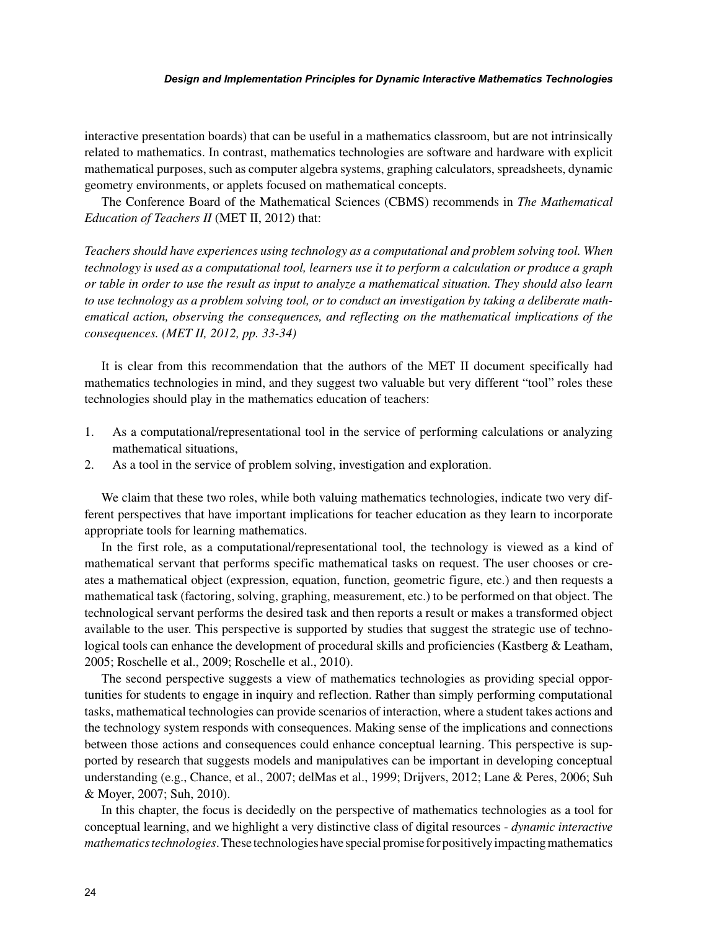#### *Design and Implementation Principles for Dynamic Interactive Mathematics Technologies*

interactive presentation boards) that can be useful in a mathematics classroom, but are not intrinsically related to mathematics. In contrast, mathematics technologies are software and hardware with explicit mathematical purposes, such as computer algebra systems, graphing calculators, spreadsheets, dynamic geometry environments, or applets focused on mathematical concepts.

The Conference Board of the Mathematical Sciences (CBMS) recommends in *The Mathematical Education of Teachers II* (MET II, 2012) that:

*Teachers should have experiences using technology as a computational and problem solving tool. When technology is used as a computational tool, learners use it to perform a calculation or produce a graph or table in order to use the result as input to analyze a mathematical situation. They should also learn to use technology as a problem solving tool, or to conduct an investigation by taking a deliberate mathematical action, observing the consequences, and reflecting on the mathematical implications of the consequences. (MET II, 2012, pp. 33-34)*

It is clear from this recommendation that the authors of the MET II document specifically had mathematics technologies in mind, and they suggest two valuable but very different "tool" roles these technologies should play in the mathematics education of teachers:

- 1. As a computational/representational tool in the service of performing calculations or analyzing mathematical situations,
- 2. As a tool in the service of problem solving, investigation and exploration.

We claim that these two roles, while both valuing mathematics technologies, indicate two very different perspectives that have important implications for teacher education as they learn to incorporate appropriate tools for learning mathematics.

In the first role, as a computational/representational tool, the technology is viewed as a kind of mathematical servant that performs specific mathematical tasks on request. The user chooses or creates a mathematical object (expression, equation, function, geometric figure, etc.) and then requests a mathematical task (factoring, solving, graphing, measurement, etc.) to be performed on that object. The technological servant performs the desired task and then reports a result or makes a transformed object available to the user. This perspective is supported by studies that suggest the strategic use of technological tools can enhance the development of procedural skills and proficiencies (Kastberg & Leatham, 2005; Roschelle et al., 2009; Roschelle et al., 2010).

The second perspective suggests a view of mathematics technologies as providing special opportunities for students to engage in inquiry and reflection. Rather than simply performing computational tasks, mathematical technologies can provide scenarios of interaction, where a student takes actions and the technology system responds with consequences. Making sense of the implications and connections between those actions and consequences could enhance conceptual learning. This perspective is supported by research that suggests models and manipulatives can be important in developing conceptual understanding (e.g., Chance, et al., 2007; delMas et al., 1999; Drijvers, 2012; Lane & Peres, 2006; Suh & Moyer, 2007; Suh, 2010).

In this chapter, the focus is decidedly on the perspective of mathematics technologies as a tool for conceptual learning, and we highlight a very distinctive class of digital resources - *dynamic interactive mathematics technologies*. These technologies have special promise for positively impacting mathematics